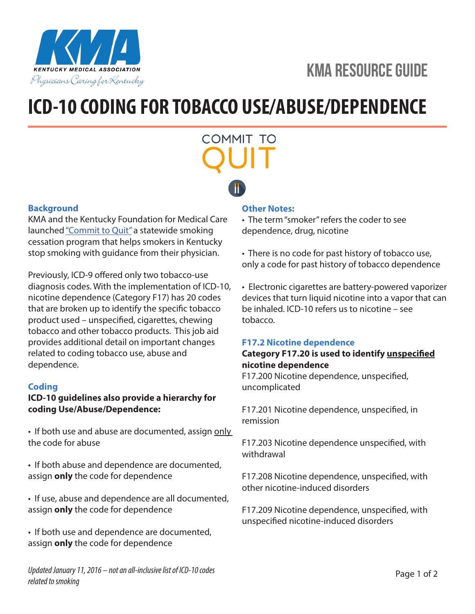



## **ICD-10 CODING FOR TOBACCO USE/ABUSE/DEPENDENCE**

# COMMIT TO

#### **Background**

KMA and the Kentucky Foundation for Medical Care launched "Commit to Quit" a statewide smoking cessation program that helps smokers in Kentucky stop smoking with guidance from their physician.

Previously, ICD-9 offered only two tobacco-use diagnosis codes. With the implementation of ICD-10, nicotine dependence (Category F17) has 20 codes that are broken up to identify the specific tobacco product used – unspecified, cigarettes, chewing tobacco and other tobacco products. This job aid provides additional detail on important changes related to coding tobacco use, abuse and dependence.

#### **Coding**

#### **ICD-10 guidelines also provide a hierarchy for coding Use/Abuse/Dependence:**

• If both use and abuse are documented, assign only the code for abuse

• If both abuse and dependence are documented, assign **only** the code for dependence

• If use, abuse and dependence are all documented, assign **only** the code for dependence

• If both use and dependence are documented, assign **only** the code for dependence

#### **Other Notes:**

• The term "smoker" refers the coder to see dependence, drug, nicotine

• There is no code for past history of tobacco use, only a code for past history of tobacco dependence

• Electronic cigarettes are battery-powered vaporizer devices that turn liquid nicotine into a vapor that can be inhaled. ICD-10 refers us to nicotine – see tobacco.

#### **F17.2 Nicotine dependence**

#### **Category F17.20 is used to identify unspecified nicotine dependence**

F17.200 Nicotine dependence, unspecified, uncomplicated

F17.201 Nicotine dependence, unspecified, in remission

F17.203 Nicotine dependence unspecified, with withdrawal

F17.208 Nicotine dependence, unspecified, with other nicotine-induced disorders

F17.209 Nicotine dependence, unspecified, with unspecified nicotine-induced disorders